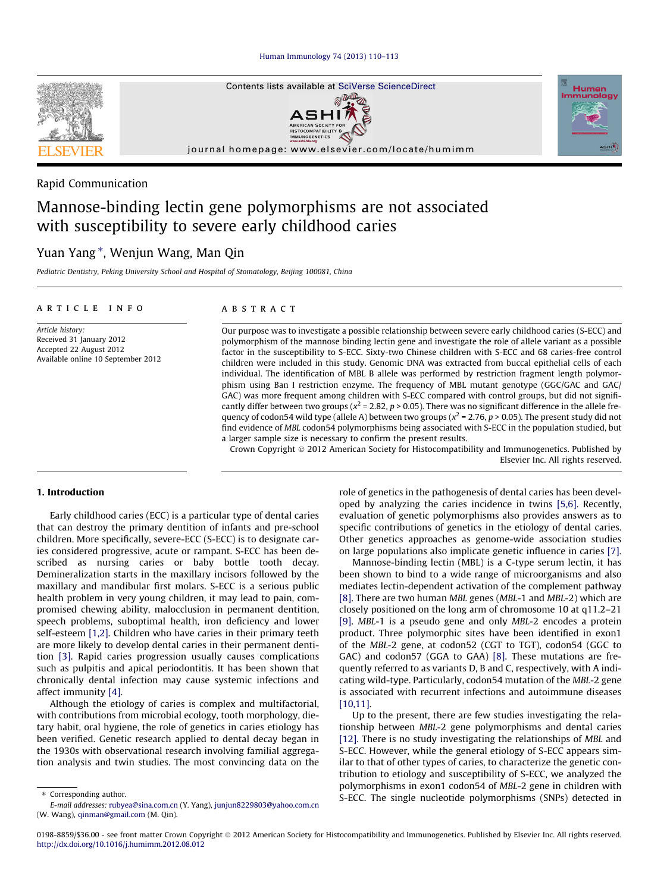[Human Immunology 74 \(2013\) 110–113](http://dx.doi.org/10.1016/j.humimm.2012.08.012)



# Rapid Communication

# Mannose-binding lectin gene polymorphisms are not associated with susceptibility to severe early childhood caries

# Yuan Yang\*, Wenjun Wang, Man Qin

Pediatric Dentistry, Peking University School and Hospital of Stomatology, Beijing 100081, China

# article info

Article history: Received 31 January 2012 Accepted 22 August 2012 Available online 10 September 2012

### ABSTRACT

Our purpose was to investigate a possible relationship between severe early childhood caries (S-ECC) and polymorphism of the mannose binding lectin gene and investigate the role of allele variant as a possible factor in the susceptibility to S-ECC. Sixty-two Chinese children with S-ECC and 68 caries-free control children were included in this study. Genomic DNA was extracted from buccal epithelial cells of each individual. The identification of MBL B allele was performed by restriction fragment length polymorphism using Ban I restriction enzyme. The frequency of MBL mutant genotype (GGC/GAC and GAC/ GAC) was more frequent among children with S-ECC compared with control groups, but did not significantly differ between two groups ( $x^2$  = 2.82, p > 0.05). There was no significant difference in the allele frequency of codon54 wild type (allele A) between two groups ( $x^2$  = 2.76, p > 0.05). The present study did not find evidence of MBL codon54 polymorphisms being associated with S-ECC in the population studied, but a larger sample size is necessary to confirm the present results.

Crown Copyright © 2012 American Society for Histocompatibility and Immunogenetics. Published by Elsevier Inc. All rights reserved.

# 1. Introduction

Early childhood caries (ECC) is a particular type of dental caries that can destroy the primary dentition of infants and pre-school children. More specifically, severe-ECC (S-ECC) is to designate caries considered progressive, acute or rampant. S-ECC has been described as nursing caries or baby bottle tooth decay. Demineralization starts in the maxillary incisors followed by the maxillary and mandibular first molars. S-ECC is a serious public health problem in very young children, it may lead to pain, compromised chewing ability, malocclusion in permanent dentition, speech problems, suboptimal health, iron deficiency and lower self-esteem [\[1,2\]](#page-2-0). Children who have caries in their primary teeth are more likely to develop dental caries in their permanent dentition [\[3\].](#page-2-0) Rapid caries progression usually causes complications such as pulpitis and apical periodontitis. It has been shown that chronically dental infection may cause systemic infections and affect immunity [\[4\]](#page-2-0).

Although the etiology of caries is complex and multifactorial, with contributions from microbial ecology, tooth morphology, dietary habit, oral hygiene, the role of genetics in caries etiology has been verified. Genetic research applied to dental decay began in the 1930s with observational research involving familial aggregation analysis and twin studies. The most convincing data on the

oped by analyzing the caries incidence in twins [\[5,6\].](#page-2-0) Recently, evaluation of genetic polymorphisms also provides answers as to specific contributions of genetics in the etiology of dental caries. Other genetics approaches as genome-wide association studies on large populations also implicate genetic influence in caries [\[7\].](#page-2-0) Mannose-binding lectin (MBL) is a C-type serum lectin, it has

role of genetics in the pathogenesis of dental caries has been devel-

been shown to bind to a wide range of microorganisms and also mediates lectin-dependent activation of the complement pathway [\[8\]](#page-2-0). There are two human MBL genes (MBL-1 and MBL-2) which are closely positioned on the long arm of chromosome 10 at q11.2–21 [\[9\]](#page-2-0). MBL-1 is a pseudo gene and only MBL-2 encodes a protein product. Three polymorphic sites have been identified in exon1 of the MBL-2 gene, at codon52 (CGT to TGT), codon54 (GGC to GAC) and codon57 (GGA to GAA) [\[8\]](#page-2-0). These mutations are frequently referred to as variants D, B and C, respectively, with A indicating wild-type. Particularly, codon54 mutation of the MBL-2 gene is associated with recurrent infections and autoimmune diseases [\[10,11\]](#page-2-0).

Up to the present, there are few studies investigating the relationship between MBL-2 gene polymorphisms and dental caries [\[12\]](#page-2-0). There is no study investigating the relationships of MBL and S-ECC. However, while the general etiology of S-ECC appears similar to that of other types of caries, to characterize the genetic contribution to etiology and susceptibility of S-ECC, we analyzed the polymorphisms in exon1 codon54 of MBL-2 gene in children with S-ECC. The single nucleotide polymorphisms (SNPs) detected in

⇑ Corresponding author.

E-mail addresses: [rubyea@sina.com.cn](mailto:rubyea@sina.com.cn) (Y. Yang), [junjun8229803@yahoo.com.cn](mailto:junjun8229803@yahoo.com.cn) (W. Wang), [qinman@gmail.com](mailto:qinman@gmail.com) (M. Qin).

<sup>0198-8859/\$36.00 -</sup> see front matter Crown Copyright © 2012 American Society for Histocompatibility and Immunogenetics. Published by Elsevier Inc. All rights reserved. <http://dx.doi.org/10.1016/j.humimm.2012.08.012>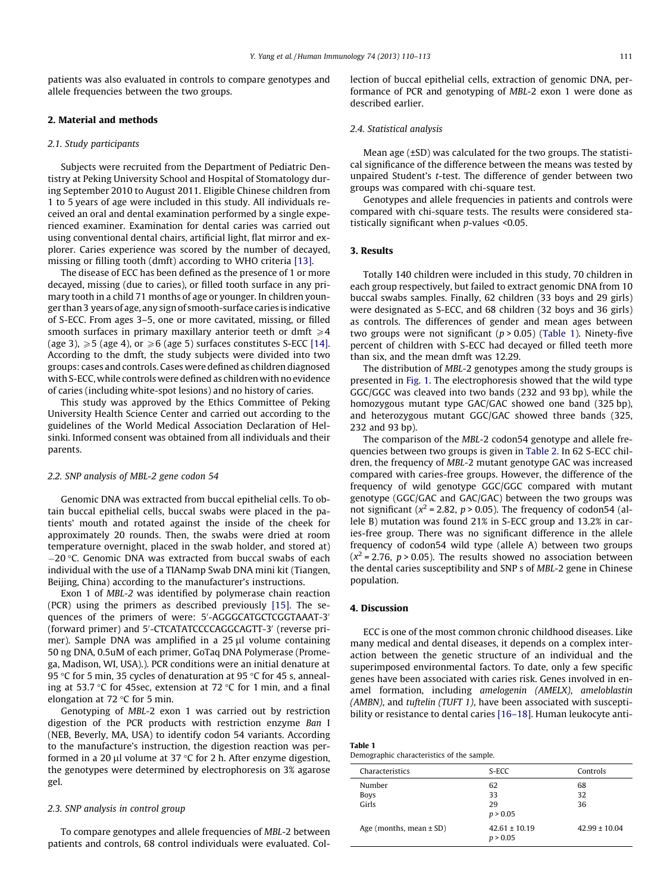patients was also evaluated in controls to compare genotypes and allele frequencies between the two groups.

## 2. Material and methods

# 2.1. Study participants

Subjects were recruited from the Department of Pediatric Dentistry at Peking University School and Hospital of Stomatology during September 2010 to August 2011. Eligible Chinese children from 1 to 5 years of age were included in this study. All individuals received an oral and dental examination performed by a single experienced examiner. Examination for dental caries was carried out using conventional dental chairs, artificial light, flat mirror and explorer. Caries experience was scored by the number of decayed, missing or filling tooth (dmft) according to WHO criteria [\[13\]](#page-2-0).

The disease of ECC has been defined as the presence of 1 or more decayed, missing (due to caries), or filled tooth surface in any primary tooth in a child 71 months of age or younger. In children younger than 3 years of age, any sign of smooth-surface caries is indicative of S-ECC. From ages 3–5, one or more cavitated, missing, or filled smooth surfaces in primary maxillary anterior teeth or dmft  $\geq 4$ (age 3),  $\geq 5$  (age 4), or  $\geq 6$  (age 5) surfaces constitutes S-ECC [\[14\].](#page-2-0) According to the dmft, the study subjects were divided into two groups: cases and controls. Cases were defined as children diagnosed with S-ECC, while controls were defined as children with no evidence of caries (including white-spot lesions) and no history of caries.

This study was approved by the Ethics Committee of Peking University Health Science Center and carried out according to the guidelines of the World Medical Association Declaration of Helsinki. Informed consent was obtained from all individuals and their parents.

#### 2.2. SNP analysis of MBL-2 gene codon 54

Genomic DNA was extracted from buccal epithelial cells. To obtain buccal epithelial cells, buccal swabs were placed in the patients' mouth and rotated against the inside of the cheek for approximately 20 rounds. Then, the swabs were dried at room temperature overnight, placed in the swab holder, and stored at)  $-20$  °C. Genomic DNA was extracted from buccal swabs of each individual with the use of a TIANamp Swab DNA mini kit (Tiangen, Beijing, China) according to the manufacturer's instructions.

Exon 1 of MBL-2 was identified by polymerase chain reaction (PCR) using the primers as described previously [\[15\]](#page-2-0). The sequences of the primers of were: 5'-AGGGCATGCTCGGTAAAT-3' (forward primer) and 5'-CTCATATCCCCAGGCAGTT-3' (reverse primer). Sample DNA was amplified in a  $25 \mu l$  volume containing 50 ng DNA, 0.5uM of each primer, GoTaq DNA Polymerase (Promega, Madison, WI, USA).). PCR conditions were an initial denature at 95 °C for 5 min, 35 cycles of denaturation at 95 °C for 45 s, annealing at 53.7 °C for 45sec, extension at 72 °C for 1 min, and a final elongation at 72 $\degree$ C for 5 min.

Genotyping of MBL-2 exon 1 was carried out by restriction digestion of the PCR products with restriction enzyme Ban I (NEB, Beverly, MA, USA) to identify codon 54 variants. According to the manufacture's instruction, the digestion reaction was performed in a 20  $\mu$ l volume at 37 °C for 2 h. After enzyme digestion, the genotypes were determined by electrophoresis on 3% agarose gel.

# 2.3. SNP analysis in control group

To compare genotypes and allele frequencies of MBL-2 between patients and controls, 68 control individuals were evaluated. Collection of buccal epithelial cells, extraction of genomic DNA, performance of PCR and genotyping of MBL-2 exon 1 were done as described earlier.

#### 2.4. Statistical analysis

Mean age (±SD) was calculated for the two groups. The statistical significance of the difference between the means was tested by unpaired Student's t-test. The difference of gender between two groups was compared with chi-square test.

Genotypes and allele frequencies in patients and controls were compared with chi-square tests. The results were considered statistically significant when p-values <0.05.

# 3. Results

Totally 140 children were included in this study, 70 children in each group respectively, but failed to extract genomic DNA from 10 buccal swabs samples. Finally, 62 children (33 boys and 29 girls) were designated as S-ECC, and 68 children (32 boys and 36 girls) as controls. The differences of gender and mean ages between two groups were not significant ( $p > 0.05$ ) (Table 1). Ninety-five percent of children with S-ECC had decayed or filled teeth more than six, and the mean dmft was 12.29.

The distribution of MBL-2 genotypes among the study groups is presented in [Fig. 1.](#page-2-0) The electrophoresis showed that the wild type GGC/GGC was cleaved into two bands (232 and 93 bp), while the homozygous mutant type GAC/GAC showed one band (325 bp), and heterozygous mutant GGC/GAC showed three bands (325, 232 and 93 bp).

The comparison of the MBL-2 codon54 genotype and allele frequencies between two groups is given in [Table 2](#page-2-0). In 62 S-ECC children, the frequency of MBL-2 mutant genotype GAC was increased compared with caries-free groups. However, the difference of the frequency of wild genotype GGC/GGC compared with mutant genotype (GGC/GAC and GAC/GAC) between the two groups was not significant ( $x^2$  = 2.82, p > 0.05). The frequency of codon54 (allele B) mutation was found 21% in S-ECC group and 13.2% in caries-free group. There was no significant difference in the allele frequency of codon54 wild type (allele A) between two groups  $(x^2 = 2.76, p > 0.05)$ . The results showed no association between the dental caries susceptibility and SNP s of MBL-2 gene in Chinese population.

#### 4. Discussion

ECC is one of the most common chronic childhood diseases. Like many medical and dental diseases, it depends on a complex interaction between the genetic structure of an individual and the superimposed environmental factors. To date, only a few specific genes have been associated with caries risk. Genes involved in enamel formation, including amelogenin (AMELX), ameloblastin (AMBN), and tuftelin (TUFT 1), have been associated with susceptibility or resistance to dental caries [\[16–18\]](#page-2-0). Human leukocyte anti-

| Table 1                                    |
|--------------------------------------------|
| Demographic characteristics of the sample. |

| Characteristics                | S-ECC                         | Controls          |
|--------------------------------|-------------------------------|-------------------|
| Number<br><b>Boys</b><br>Girls | 62<br>33<br>29<br>p > 0.05    | 68<br>32<br>36    |
| Age (months, mean $\pm$ SD)    | $42.61 \pm 10.19$<br>p > 0.05 | $42.99 \pm 10.04$ |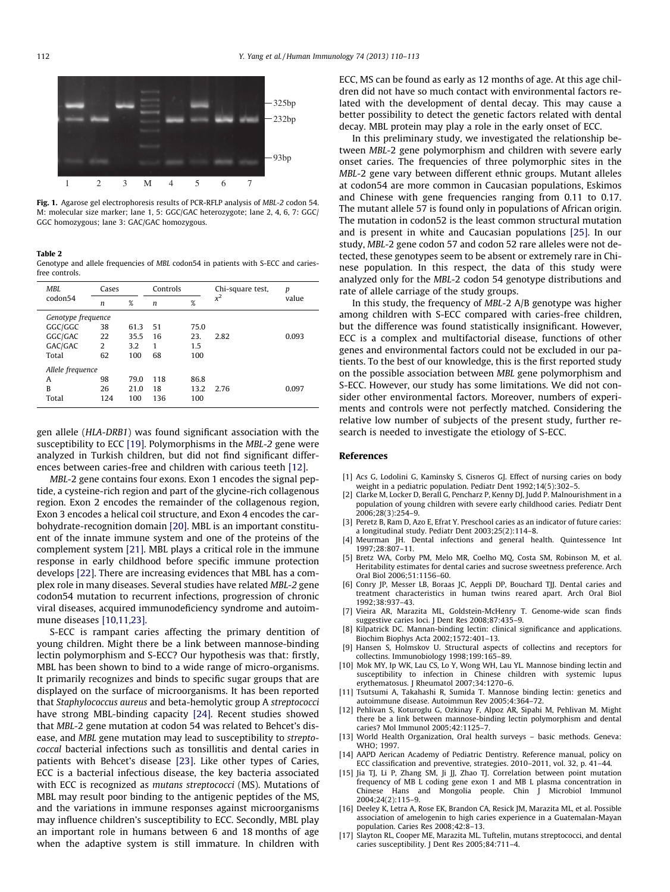<span id="page-2-0"></span>

Fig. 1. Agarose gel electrophoresis results of PCR-RFLP analysis of MBL-2 codon 54. M: molecular size marker; lane 1, 5: GGC/GAC heterozygote; lane 2, 4, 6, 7: GGC/ GGC homozygous; lane 3: GAC/GAC homozygous.

#### Table 2

Genotype and allele frequencies of MBL codon54 in patients with S-ECC and cariesfree controls.

| MBI.               | Cases            |      | Controls         |      | Chi-square test, | p     |  |  |
|--------------------|------------------|------|------------------|------|------------------|-------|--|--|
| codon54            | $\boldsymbol{n}$ | %    | $\boldsymbol{n}$ | %    | $x^2$            | value |  |  |
| Genotype frequence |                  |      |                  |      |                  |       |  |  |
| GGC/GGC            | 38               | 61.3 | 51               | 75.0 |                  |       |  |  |
| GGC/GAC            | 22               | 35.5 | 16               | 23.  | 2.82             | 0.093 |  |  |
| GAC/GAC            | 2                | 3.2  | 1                | 1.5  |                  |       |  |  |
| Total              | 62               | 100  | 68               | 100  |                  |       |  |  |
| Allele frequence   |                  |      |                  |      |                  |       |  |  |
| A                  | 98               | 79.0 | 118              | 86.8 |                  |       |  |  |
| B                  | 26               | 21.0 | 18               | 13.2 | 2.76             | 0.097 |  |  |
| Total              | 124              | 100  | 136              | 100  |                  |       |  |  |
|                    |                  |      |                  |      |                  |       |  |  |

gen allele (HLA-DRB1) was found significant association with the susceptibility to ECC [\[19\]](#page-3-0). Polymorphisms in the MBL-2 gene were analyzed in Turkish children, but did not find significant differences between caries-free and children with carious teeth [12].

MBL-2 gene contains four exons. Exon 1 encodes the signal peptide, a cysteine-rich region and part of the glycine-rich collagenous region. Exon 2 encodes the remainder of the collagenous region, Exon 3 encodes a helical coil structure, and Exon 4 encodes the carbohydrate-recognition domain [\[20\]](#page-3-0). MBL is an important constituent of the innate immune system and one of the proteins of the complement system [\[21\].](#page-3-0) MBL plays a critical role in the immune response in early childhood before specific immune protection develops [\[22\].](#page-3-0) There are increasing evidences that MBL has a complex role in many diseases. Several studies have related MBL-2 gene codon54 mutation to recurrent infections, progression of chronic viral diseases, acquired immunodeficiency syndrome and autoimmune diseases [10,11,23].

S-ECC is rampant caries affecting the primary dentition of young children. Might there be a link between mannose-binding lectin polymorphism and S-ECC? Our hypothesis was that: firstly, MBL has been shown to bind to a wide range of micro-organisms. It primarily recognizes and binds to specific sugar groups that are displayed on the surface of microorganisms. It has been reported that Staphylococcus aureus and beta-hemolytic group A streptococci have strong MBL-binding capacity [\[24\]](#page-3-0). Recent studies showed that MBL-2 gene mutation at codon 54 was related to Behcet's disease, and MBL gene mutation may lead to susceptibility to streptococcal bacterial infections such as tonsillitis and dental caries in patients with Behcet's disease [\[23\]](#page-3-0). Like other types of Caries, ECC is a bacterial infectious disease, the key bacteria associated with ECC is recognized as mutans streptococci (MS). Mutations of MBL may result poor binding to the antigenic peptides of the MS, and the variations in immune responses against microorganisms may influence children's susceptibility to ECC. Secondly, MBL play an important role in humans between 6 and 18 months of age when the adaptive system is still immature. In children with ECC, MS can be found as early as 12 months of age. At this age children did not have so much contact with environmental factors related with the development of dental decay. This may cause a better possibility to detect the genetic factors related with dental decay. MBL protein may play a role in the early onset of ECC.

In this preliminary study, we investigated the relationship between MBL-2 gene polymorphism and children with severe early onset caries. The frequencies of three polymorphic sites in the MBL-2 gene vary between different ethnic groups. Mutant alleles at codon54 are more common in Caucasian populations, Eskimos and Chinese with gene frequencies ranging from 0.11 to 0.17. The mutant allele 57 is found only in populations of African origin. The mutation in codon52 is the least common structural mutation and is present in white and Caucasian populations [\[25\].](#page-3-0) In our study, MBL-2 gene codon 57 and codon 52 rare alleles were not detected, these genotypes seem to be absent or extremely rare in Chinese population. In this respect, the data of this study were analyzed only for the MBL-2 codon 54 genotype distributions and rate of allele carriage of the study groups.

In this study, the frequency of MBL-2 A/B genotype was higher among children with S-ECC compared with caries-free children, but the difference was found statistically insignificant. However, ECC is a complex and multifactorial disease, functions of other genes and environmental factors could not be excluded in our patients. To the best of our knowledge, this is the first reported study on the possible association between MBL gene polymorphism and S-ECC. However, our study has some limitations. We did not consider other environmental factors. Moreover, numbers of experiments and controls were not perfectly matched. Considering the relative low number of subjects of the present study, further research is needed to investigate the etiology of S-ECC.

#### References

- [1] Acs G, Lodolini G, Kaminsky S, Cisneros GJ. Effect of nursing caries on body weight in a pediatric population. Pediatr Dent 1992;14(5):302–5.
- [2] Clarke M, Locker D, Berall G, Pencharz P, Kenny DJ, Judd P. Malnourishment in a population of young children with severe early childhood caries. Pediatr Dent 2006;28(3):254–9.
- [3] Peretz B, Ram D, Azo E, Efrat Y. Preschool caries as an indicator of future caries: a longitudinal study. Pediatr Dent 2003;25(2):114–8.
- [4] Meurman JH. Dental infections and general health. Quintessence Int 1997;28:807–11.
- [5] Bretz WA, Corby PM, Melo MR, Coelho MQ, Costa SM, Robinson M, et al. Heritability estimates for dental caries and sucrose sweetness preference. Arch Oral Biol 2006;51:1156–60.
- [6] Conry JP, Messer LB, Boraas JC, Aeppli DP, Bouchard TJJ. Dental caries and treatment characteristics in human twins reared apart. Arch Oral Biol 1992;38:937–43.
- [7] Vieira AR, Marazita ML, Goldstein-McHenry T. Genome-wide scan finds suggestive caries loci. J Dent Res 2008;87:435–9.
- [8] Kilpatrick DC. Mannan-binding lectin: clinical significance and applications. Biochim Biophys Acta 2002;1572:401–13.
- [9] Hansen S, Holmskov U. Structural aspects of collectins and receptors for collectins. Immunobiology 1998;199:165–89.
- [10] Mok MY, Ip WK, Lau CS, Lo Y, Wong WH, Lau YL. Mannose binding lectin and susceptibility to infection in Chinese children with systemic lupus erythematosus. J Rheumatol 2007;34:1270–6.
- [11] Tsutsumi A, Takahashi R, Sumida T. Mannose binding lectin: genetics and autoimmune disease. Autoimmun Rev 2005;4:364–72.
- [12] Pehlivan S, Koturoglu G, Ozkinay F, Alpoz AR, Sipahi M, Pehlivan M. Might there be a link between mannose-binding lectin polymorphism and dental caries? Mol Immunol 2005;42:1125–7.
- [13] World Health Organization, Oral health surveys basic methods. Geneva: WHO; 1997.
- [14] AAPD Aerican Academy of Pediatric Dentistry. Reference manual, policy on ECC classification and preventive, strategies. 2010–2011, vol. 32, p. 41–44.
- [15] Jia TJ, Li P, Zhang SM, Ji JJ, Zhao TJ. Correlation between point mutation frequency of MB L coding gene exon 1 and MB L plasma concentration in Chinese Hans and Mongolia people. Chin J Microbiol Immunol 2004;24(2):115–9.
- [16] Deeley K, Letra A, Rose EK, Brandon CA, Resick JM, Marazita ML, et al. Possible association of amelogenin to high caries experience in a Guatemalan-Mayan population. Caries Res 2008;42:8–13.
- [17] Slayton RL, Cooper ME, Marazita ML. Tuftelin, mutans streptococci, and dental caries susceptibility. J Dent Res 2005;84:711–4.